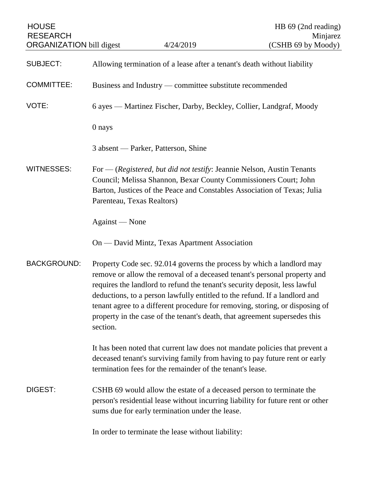| <b>HOUSE</b><br><b>RESEARCH</b><br><b>ORGANIZATION</b> bill digest |                                                                          | 4/24/2019                                                                                                                                                                                                                                                                                                       | HB 69 (2nd reading)<br>Minjarez<br>(CSHB 69 by Moody)                                                                                                     |
|--------------------------------------------------------------------|--------------------------------------------------------------------------|-----------------------------------------------------------------------------------------------------------------------------------------------------------------------------------------------------------------------------------------------------------------------------------------------------------------|-----------------------------------------------------------------------------------------------------------------------------------------------------------|
| <b>SUBJECT:</b>                                                    | Allowing termination of a lease after a tenant's death without liability |                                                                                                                                                                                                                                                                                                                 |                                                                                                                                                           |
| <b>COMMITTEE:</b>                                                  | Business and Industry — committee substitute recommended                 |                                                                                                                                                                                                                                                                                                                 |                                                                                                                                                           |
| VOTE:                                                              | 6 ayes — Martinez Fischer, Darby, Beckley, Collier, Landgraf, Moody      |                                                                                                                                                                                                                                                                                                                 |                                                                                                                                                           |
|                                                                    | 0 nays                                                                   |                                                                                                                                                                                                                                                                                                                 |                                                                                                                                                           |
|                                                                    |                                                                          | 3 absent — Parker, Patterson, Shine                                                                                                                                                                                                                                                                             |                                                                                                                                                           |
| <b>WITNESSES:</b>                                                  | Parenteau, Texas Realtors)                                               | For $-$ (Registered, but did not testify: Jeannie Nelson, Austin Tenants<br>Council; Melissa Shannon, Bexar County Commissioners Court; John<br>Barton, Justices of the Peace and Constables Association of Texas; Julia                                                                                        |                                                                                                                                                           |
|                                                                    | Against — None                                                           |                                                                                                                                                                                                                                                                                                                 |                                                                                                                                                           |
|                                                                    |                                                                          | On — David Mintz, Texas Apartment Association                                                                                                                                                                                                                                                                   |                                                                                                                                                           |
| <b>BACKGROUND:</b>                                                 | section.                                                                 | Property Code sec. 92.014 governs the process by which a landlord may<br>requires the landlord to refund the tenant's security deposit, less lawful<br>deductions, to a person lawfully entitled to the refund. If a landlord and<br>property in the case of the tenant's death, that agreement supersedes this | remove or allow the removal of a deceased tenant's personal property and<br>tenant agree to a different procedure for removing, storing, or disposing of  |
|                                                                    |                                                                          | termination fees for the remainder of the tenant's lease.                                                                                                                                                                                                                                                       | It has been noted that current law does not mandate policies that prevent a<br>deceased tenant's surviving family from having to pay future rent or early |
| DIGEST:                                                            |                                                                          | CSHB 69 would allow the estate of a deceased person to terminate the<br>sums due for early termination under the lease.                                                                                                                                                                                         | person's residential lease without incurring liability for future rent or other                                                                           |
|                                                                    |                                                                          | In order to terminate the lease without liability:                                                                                                                                                                                                                                                              |                                                                                                                                                           |